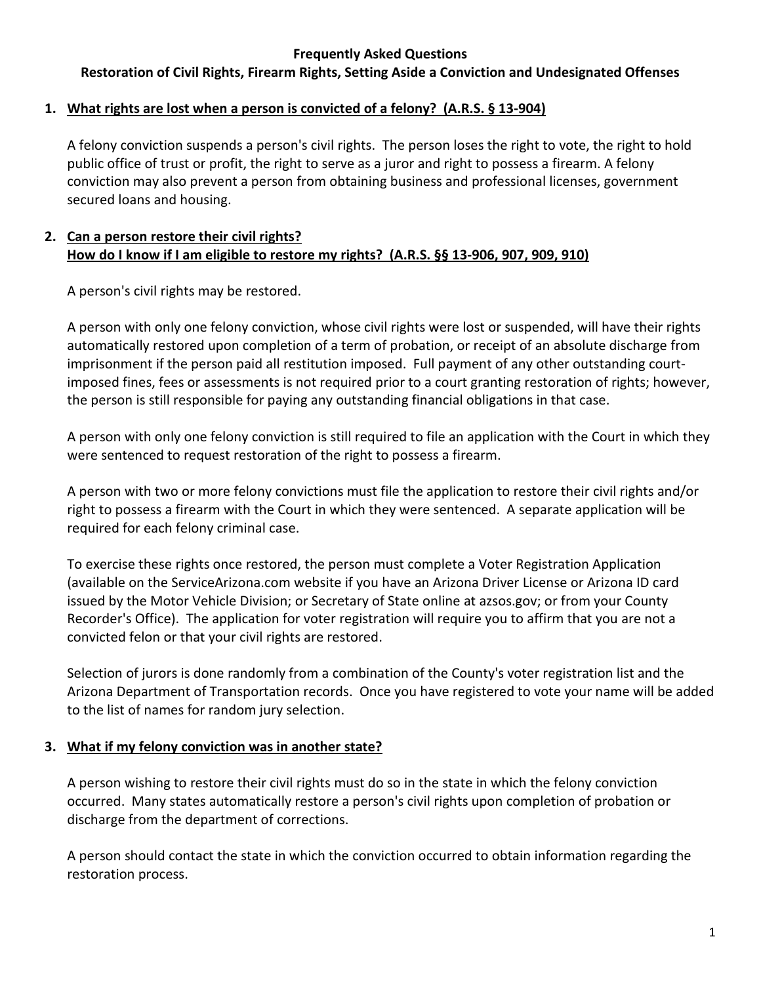**Restoration of Civil Rights, Firearm Rights, Setting Aside a Conviction and Undesignated Offenses**

#### **1. What rights are lost when a person is convicted of a felony? (A.R.S. § 13-904)**

A felony conviction suspends a person's civil rights. The person loses the right to vote, the right to hold public office of trust or profit, the right to serve as a juror and right to possess a firearm. A felony conviction may also prevent a person from obtaining business and professional licenses, government secured loans and housing.

#### **2. Can a person restore their civil rights? How do I know if I am eligible to restore my rights? (A.R.S. §§ 13-906, 907, 909, 910)**

A person's civil rights may be restored.

A person with only one felony conviction, whose civil rights were lost or suspended, will have their rights automatically restored upon completion of a term of probation, or receipt of an absolute discharge from imprisonment if the person paid all restitution imposed. Full payment of any other outstanding courtimposed fines, fees or assessments is not required prior to a court granting restoration of rights; however, the person is still responsible for paying any outstanding financial obligations in that case.

A person with only one felony conviction is still required to file an application with the Court in which they were sentenced to request restoration of the right to possess a firearm.

A person with two or more felony convictions must file the application to restore their civil rights and/or right to possess a firearm with the Court in which they were sentenced. A separate application will be required for each felony criminal case.

To exercise these rights once restored, the person must complete a Voter Registration Application (available on the ServiceArizona.com website if you have an Arizona Driver License or Arizona ID card issued by the Motor Vehicle Division; or Secretary of State online at azsos.gov; or from your County Recorder's Office). The application for voter registration will require you to affirm that you are not a convicted felon or that your civil rights are restored.

Selection of jurors is done randomly from a combination of the County's voter registration list and the Arizona Department of Transportation records. Once you have registered to vote your name will be added to the list of names for random jury selection.

### **3. What if my felony conviction was in another state?**

A person wishing to restore their civil rights must do so in the state in which the felony conviction occurred. Many states automatically restore a person's civil rights upon completion of probation or discharge from the department of corrections.

A person should contact the state in which the conviction occurred to obtain information regarding the restoration process.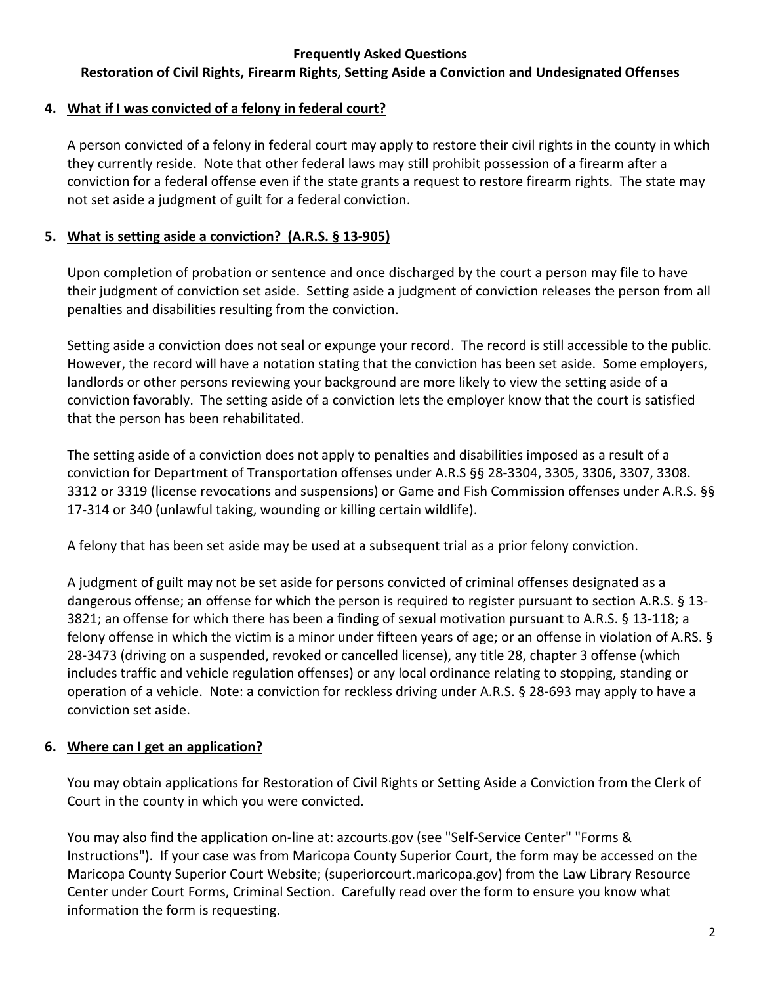# **Restoration of Civil Rights, Firearm Rights, Setting Aside a Conviction and Undesignated Offenses**

# **4. What if I was convicted of a felony in federal court?**

A person convicted of a felony in federal court may apply to restore their civil rights in the county in which they currently reside. Note that other federal laws may still prohibit possession of a firearm after a conviction for a federal offense even if the state grants a request to restore firearm rights. The state may not set aside a judgment of guilt for a federal conviction.

# **5. What is setting aside a conviction? (A.R.S. § 13-905)**

Upon completion of probation or sentence and once discharged by the court a person may file to have their judgment of conviction set aside. Setting aside a judgment of conviction releases the person from all penalties and disabilities resulting from the conviction.

Setting aside a conviction does not seal or expunge your record. The record is still accessible to the public. However, the record will have a notation stating that the conviction has been set aside. Some employers, landlords or other persons reviewing your background are more likely to view the setting aside of a conviction favorably. The setting aside of a conviction lets the employer know that the court is satisfied that the person has been rehabilitated.

The setting aside of a conviction does not apply to penalties and disabilities imposed as a result of a conviction for Department of Transportation offenses under A.R.S §§ 28-3304, 3305, 3306, 3307, 3308. 3312 or 3319 (license revocations and suspensions) or Game and Fish Commission offenses under A.R.S. §§ 17-314 or 340 (unlawful taking, wounding or killing certain wildlife).

A felony that has been set aside may be used at a subsequent trial as a prior felony conviction.

A judgment of guilt may not be set aside for persons convicted of criminal offenses designated as a dangerous offense; an offense for which the person is required to register pursuant to section A.R.S. § 13- 3821; an offense for which there has been a finding of sexual motivation pursuant to A.R.S. § 13-118; a felony offense in which the victim is a minor under fifteen years of age; or an offense in violation of A.RS. § 28-3473 (driving on a suspended, revoked or cancelled license), any title 28, chapter 3 offense (which includes traffic and vehicle regulation offenses) or any local ordinance relating to stopping, standing or operation of a vehicle. Note: a conviction for reckless driving under A.R.S. § 28-693 may apply to have a conviction set aside.

# **6. Where can I get an application?**

You may obtain applications for Restoration of Civil Rights or Setting Aside a Conviction from the Clerk of Court in the county in which you were convicted.

You may also find the application on-line at: azcourts.gov (see "Self-Service Center" "Forms & Instructions"). If your case was from Maricopa County Superior Court, the form may be accessed on the Maricopa County Superior Court Website; (superiorcourt.maricopa.gov) from the Law Library Resource Center under Court Forms, Criminal Section. Carefully read over the form to ensure you know what information the form is requesting.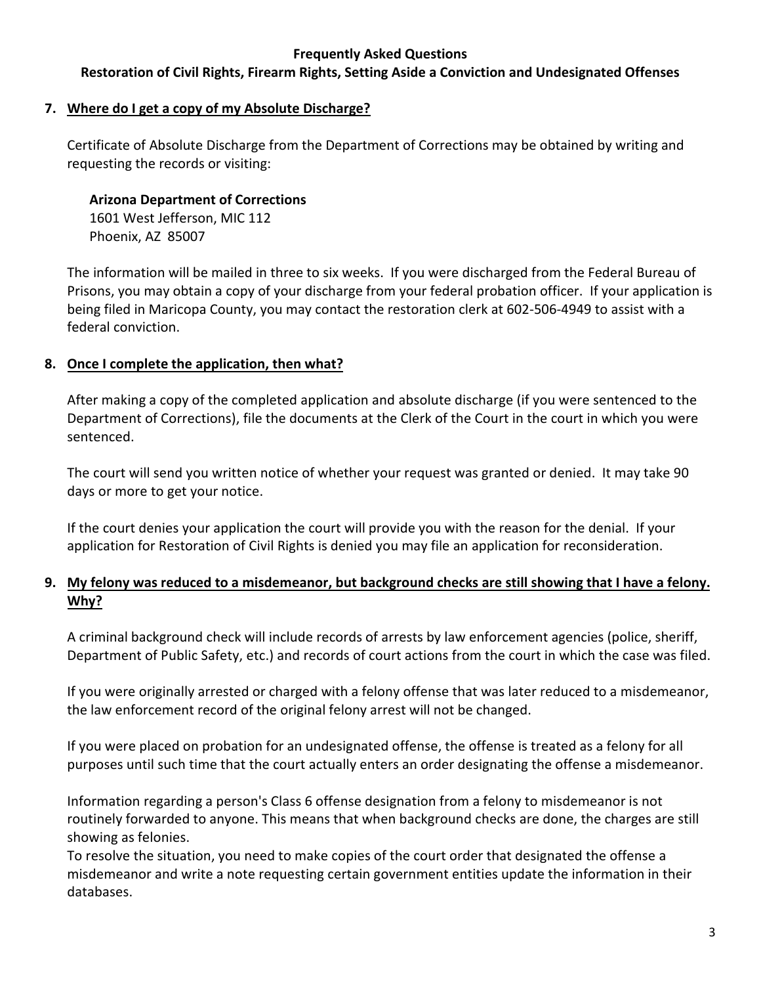### **Restoration of Civil Rights, Firearm Rights, Setting Aside a Conviction and Undesignated Offenses**

#### **7. Where do I get a copy of my Absolute Discharge?**

Certificate of Absolute Discharge from the Department of Corrections may be obtained by writing and requesting the records or visiting:

## **Arizona Department of Corrections**

1601 West Jefferson, MIC 112 Phoenix, AZ 85007

The information will be mailed in three to six weeks. If you were discharged from the Federal Bureau of Prisons, you may obtain a copy of your discharge from your federal probation officer. If your application is being filed in Maricopa County, you may contact the restoration clerk at 602-506-4949 to assist with a federal conviction.

# **8. Once I complete the application, then what?**

After making a copy of the completed application and absolute discharge (if you were sentenced to the Department of Corrections), file the documents at the Clerk of the Court in the court in which you were sentenced.

The court will send you written notice of whether your request was granted or denied. It may take 90 days or more to get your notice.

If the court denies your application the court will provide you with the reason for the denial. If your application for Restoration of Civil Rights is denied you may file an application for reconsideration.

# **9. My felony was reduced to a misdemeanor, but background checks are still showing that I have a felony. Why?**

A criminal background check will include records of arrests by law enforcement agencies (police, sheriff, Department of Public Safety, etc.) and records of court actions from the court in which the case was filed.

If you were originally arrested or charged with a felony offense that was later reduced to a misdemeanor, the law enforcement record of the original felony arrest will not be changed.

If you were placed on probation for an undesignated offense, the offense is treated as a felony for all purposes until such time that the court actually enters an order designating the offense a misdemeanor.

Information regarding a person's Class 6 offense designation from a felony to misdemeanor is not routinely forwarded to anyone. This means that when background checks are done, the charges are still showing as felonies.

To resolve the situation, you need to make copies of the court order that designated the offense a misdemeanor and write a note requesting certain government entities update the information in their databases.